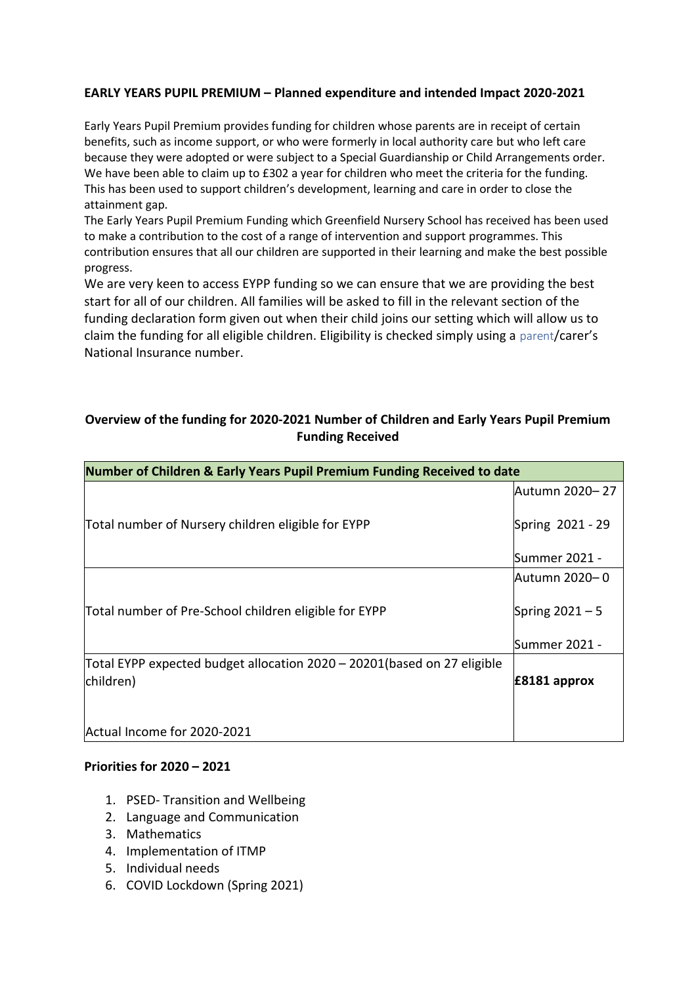# **EARLY YEARS PUPIL PREMIUM – Planned expenditure and intended Impact 2020-2021**

Early Years Pupil Premium provides funding for children whose parents are in receipt of certain benefits, such as income support, or who were formerly in local authority care but who left care because they were adopted or were subject to a Special Guardianship or Child Arrangements order. We have been able to claim up to £302 a year for children who meet the criteria for the funding. This has been used to support children's development, learning and care in order to close the attainment gap.

The Early Years Pupil Premium Funding which Greenfield Nursery School has received has been used to make a contribution to the cost of a range of intervention and support programmes. This contribution ensures that all our children are supported in their learning and make the best possible progress.

We are very keen to access EYPP funding so we can ensure that we are providing the best start for all of our children. All families will be asked to fill in the relevant section of the funding declaration form given out when their child joins our setting which will allow us to claim the funding for all eligible children. Eligibility is checked simply using a parent/carer's National Insurance number.

### **Overview of the funding for 2020-2021 Number of Children and Early Years Pupil Premium Funding Received**

| Number of Children & Early Years Pupil Premium Funding Received to date  |                   |
|--------------------------------------------------------------------------|-------------------|
|                                                                          | lAutumn 2020– 27  |
| Total number of Nursery children eligible for EYPP                       | Spring 2021 - 29  |
|                                                                          | Summer 2021 -     |
|                                                                          | Autumn 2020– 0    |
| Total number of Pre-School children eligible for EYPP                    | Spring $2021 - 5$ |
|                                                                          | Summer 2021 -     |
| Total EYPP expected budget allocation 2020 – 20201 (based on 27 eligible |                   |
| children)                                                                | $E8181$ approx    |
|                                                                          |                   |
| Actual Income for 2020-2021                                              |                   |

### **Priorities for 2020 – 2021**

- 1. PSED- Transition and Wellbeing
- 2. Language and Communication
- 3. Mathematics
- 4. Implementation of ITMP
- 5. Individual needs
- 6. COVID Lockdown (Spring 2021)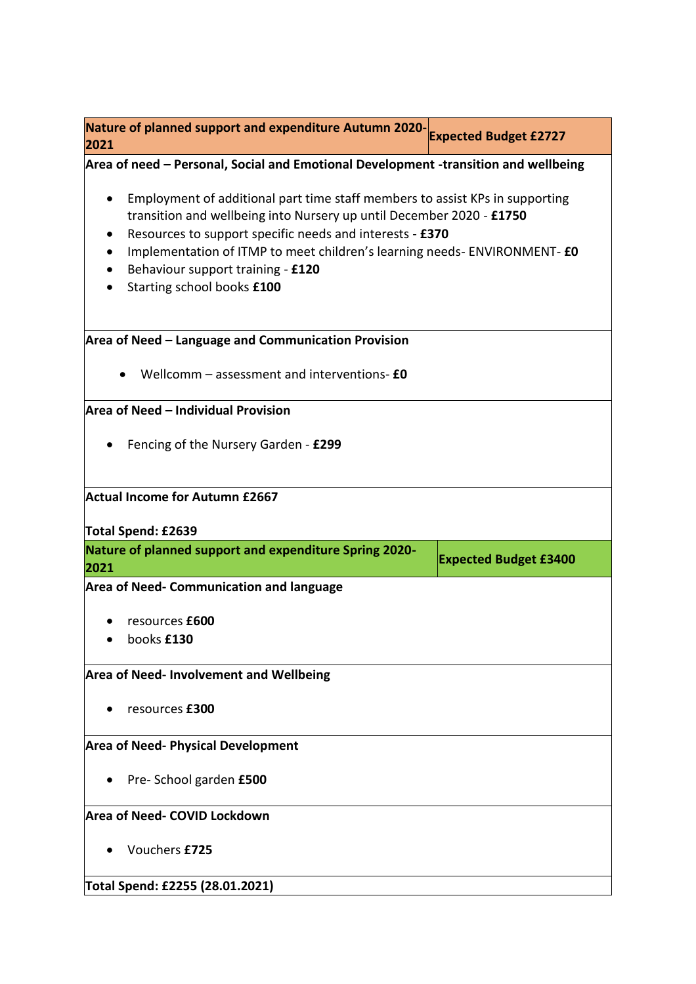| Nature of planned support and expenditure Autumn 2020-<br>2021                                                                                                                                                                                                                                                                                                               | <b>Expected Budget £2727</b> |  |
|------------------------------------------------------------------------------------------------------------------------------------------------------------------------------------------------------------------------------------------------------------------------------------------------------------------------------------------------------------------------------|------------------------------|--|
| Area of need – Personal, Social and Emotional Development -transition and wellbeing                                                                                                                                                                                                                                                                                          |                              |  |
| Employment of additional part time staff members to assist KPs in supporting<br>$\bullet$<br>transition and wellbeing into Nursery up until December 2020 - £1750<br>Resources to support specific needs and interests - £370<br>Implementation of ITMP to meet children's learning needs-ENVIRONMENT- £0<br>Behaviour support training - £120<br>Starting school books £100 |                              |  |
| Area of Need - Language and Communication Provision                                                                                                                                                                                                                                                                                                                          |                              |  |
| Wellcomm - assessment and interventions- £0                                                                                                                                                                                                                                                                                                                                  |                              |  |
| Area of Need - Individual Provision                                                                                                                                                                                                                                                                                                                                          |                              |  |
| Fencing of the Nursery Garden - £299                                                                                                                                                                                                                                                                                                                                         |                              |  |
| <b>Actual Income for Autumn £2667</b>                                                                                                                                                                                                                                                                                                                                        |                              |  |
| Total Spend: £2639<br>Nature of planned support and expenditure Spring 2020-                                                                                                                                                                                                                                                                                                 |                              |  |
| 2021                                                                                                                                                                                                                                                                                                                                                                         | <b>Expected Budget £3400</b> |  |
| <b>Area of Need- Communication and language</b>                                                                                                                                                                                                                                                                                                                              |                              |  |
| resources £600<br>books £130                                                                                                                                                                                                                                                                                                                                                 |                              |  |
| <b>Area of Need- Involvement and Wellbeing</b>                                                                                                                                                                                                                                                                                                                               |                              |  |
| resources £300                                                                                                                                                                                                                                                                                                                                                               |                              |  |
| <b>Area of Need- Physical Development</b>                                                                                                                                                                                                                                                                                                                                    |                              |  |
| Pre-School garden £500                                                                                                                                                                                                                                                                                                                                                       |                              |  |
| Area of Need- COVID Lockdown                                                                                                                                                                                                                                                                                                                                                 |                              |  |
| Vouchers £725                                                                                                                                                                                                                                                                                                                                                                |                              |  |
| Total Spend: £2255 (28.01.2021)                                                                                                                                                                                                                                                                                                                                              |                              |  |